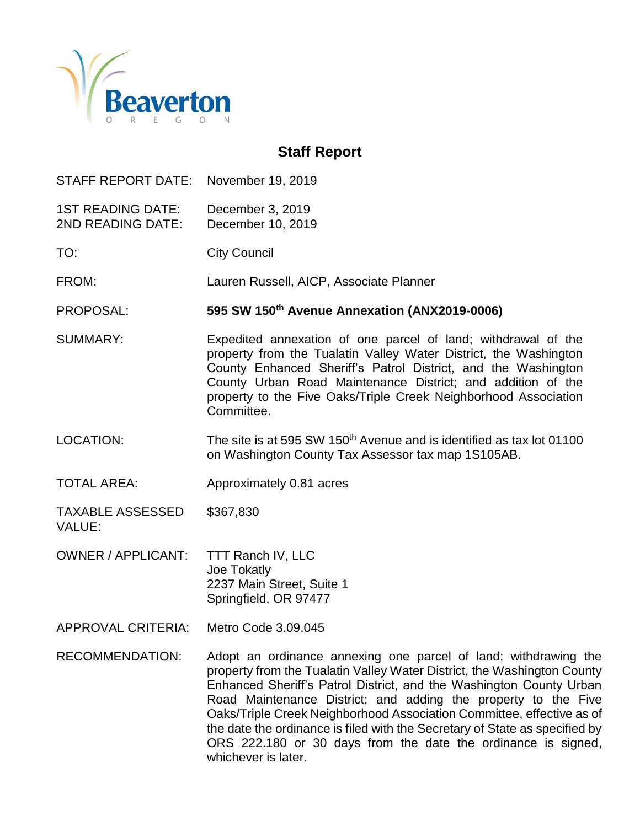

# **Staff Report**

STAFF REPORT DATE: November 19, 2019

1ST READING DATE: December 3, 2019 2ND READING DATE: December 10, 2019

TO: City Council

FROM: Lauren Russell, AICP, Associate Planner

PROPOSAL: **595 SW 150th Avenue Annexation (ANX2019-0006)**

SUMMARY: Expedited annexation of one parcel of land; withdrawal of the property from the Tualatin Valley Water District, the Washington County Enhanced Sheriff's Patrol District, and the Washington County Urban Road Maintenance District; and addition of the property to the Five Oaks/Triple Creek Neighborhood Association Committee.

LOCATION: The site is at 595 SW 150<sup>th</sup> Avenue and is identified as tax lot 01100 on Washington County Tax Assessor tax map 1S105AB.

TOTAL AREA: Approximately 0.81 acres

TAXABLE ASSESSED \$367,830 VALUE:

OWNER / APPLICANT: TTT Ranch IV, LLC Joe Tokatly 2237 Main Street, Suite 1 Springfield, OR 97477

APPROVAL CRITERIA: Metro Code 3.09.045

RECOMMENDATION: Adopt an ordinance annexing one parcel of land; withdrawing the property from the Tualatin Valley Water District, the Washington County Enhanced Sheriff's Patrol District, and the Washington County Urban Road Maintenance District; and adding the property to the Five Oaks/Triple Creek Neighborhood Association Committee, effective as of the date the ordinance is filed with the Secretary of State as specified by ORS 222.180 or 30 days from the date the ordinance is signed, whichever is later.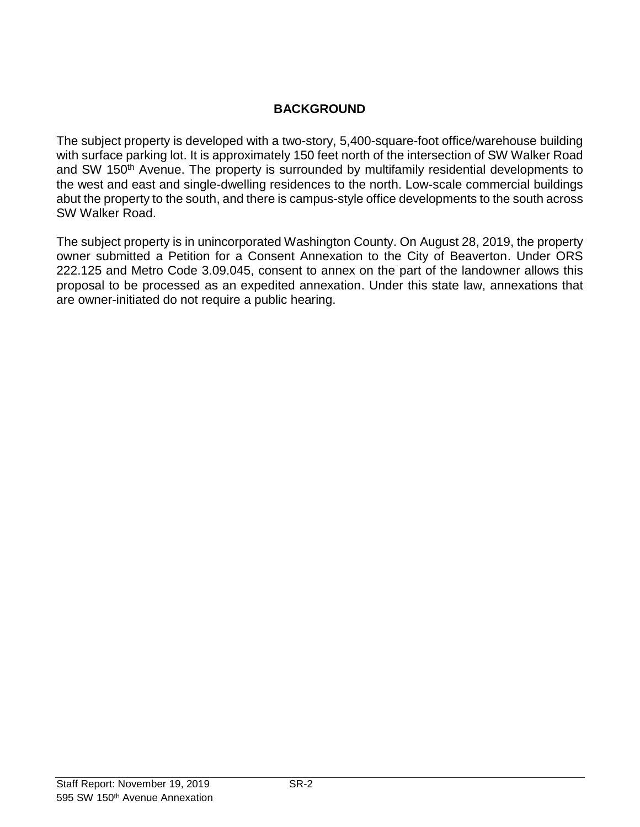# **BACKGROUND**

The subject property is developed with a two-story, 5,400-square-foot office/warehouse building with surface parking lot. It is approximately 150 feet north of the intersection of SW Walker Road and SW 150<sup>th</sup> Avenue. The property is surrounded by multifamily residential developments to the west and east and single-dwelling residences to the north. Low-scale commercial buildings abut the property to the south, and there is campus-style office developments to the south across SW Walker Road.

The subject property is in unincorporated Washington County. On August 28, 2019, the property owner submitted a Petition for a Consent Annexation to the City of Beaverton. Under ORS 222.125 and Metro Code 3.09.045, consent to annex on the part of the landowner allows this proposal to be processed as an expedited annexation. Under this state law, annexations that are owner-initiated do not require a public hearing.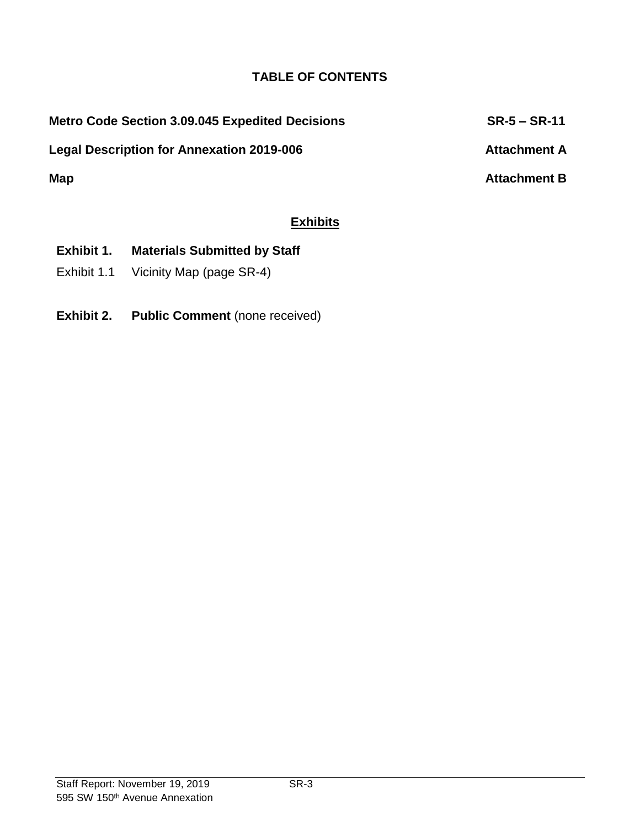## **TABLE OF CONTENTS**

Legal Description for Annexation 2019-006 **Attachment A** 

**Metro Code Section 3.09.045 Expedited Decisions SR-5 – SR-11**

**Map Attachment B**

# **Exhibits**

- **Exhibit 1. Materials Submitted by Staff**
- Exhibit 1.1 Vicinity Map (page SR-4)
- **Exhibit 2. Public Comment** (none received)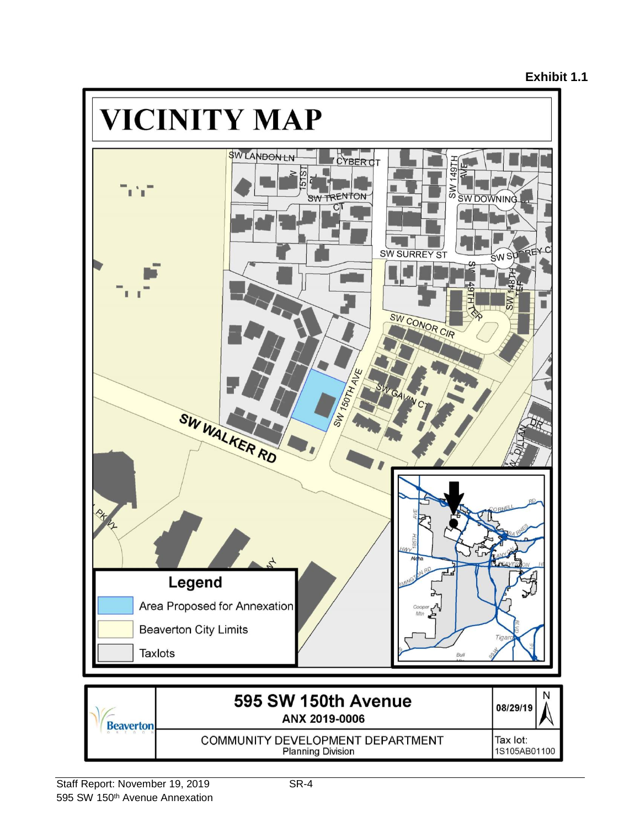#### **Exhibit 1.1**

1S105AB01100

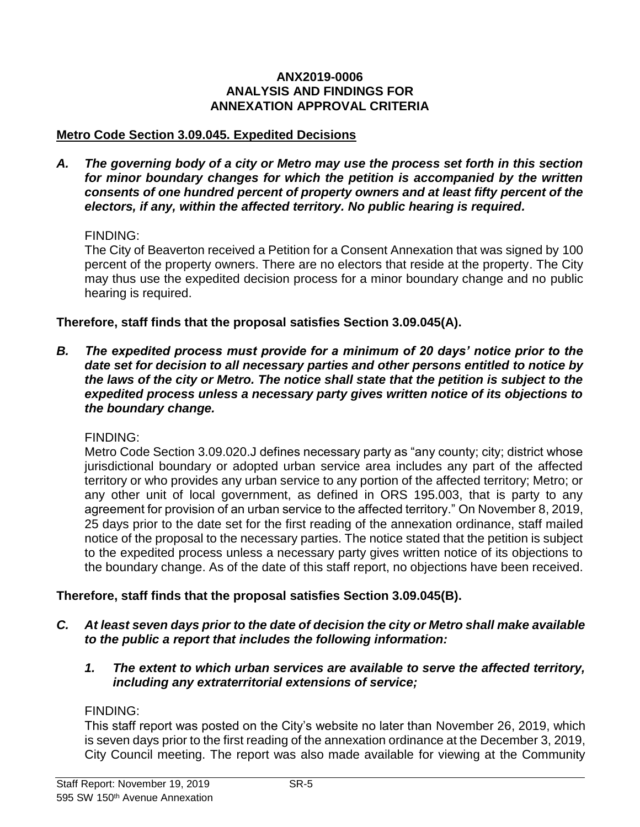#### **ANX2019-0006 ANALYSIS AND FINDINGS FOR ANNEXATION APPROVAL CRITERIA**

#### **Metro Code Section 3.09.045. Expedited Decisions**

*A. The governing body of a city or Metro may use the process set forth in this section for minor boundary changes for which the petition is accompanied by the written consents of one hundred percent of property owners and at least fifty percent of the electors, if any, within the affected territory. No public hearing is required.*

#### FINDING:

The City of Beaverton received a Petition for a Consent Annexation that was signed by 100 percent of the property owners. There are no electors that reside at the property. The City may thus use the expedited decision process for a minor boundary change and no public hearing is required.

#### **Therefore, staff finds that the proposal satisfies Section 3.09.045(A).**

*B. The expedited process must provide for a minimum of 20 days' notice prior to the date set for decision to all necessary parties and other persons entitled to notice by the laws of the city or Metro. The notice shall state that the petition is subject to the expedited process unless a necessary party gives written notice of its objections to the boundary change.*

#### FINDING:

Metro Code Section 3.09.020.J defines necessary party as "any county; city; district whose jurisdictional boundary or adopted urban service area includes any part of the affected territory or who provides any urban service to any portion of the affected territory; Metro; or any other unit of local government, as defined in ORS 195.003, that is party to any agreement for provision of an urban service to the affected territory." On November 8, 2019, 25 days prior to the date set for the first reading of the annexation ordinance, staff mailed notice of the proposal to the necessary parties. The notice stated that the petition is subject to the expedited process unless a necessary party gives written notice of its objections to the boundary change. As of the date of this staff report, no objections have been received.

#### **Therefore, staff finds that the proposal satisfies Section 3.09.045(B).**

- *C. At least seven days prior to the date of decision the city or Metro shall make available to the public a report that includes the following information:*
	- *1. The extent to which urban services are available to serve the affected territory, including any extraterritorial extensions of service;*

#### FINDING:

This staff report was posted on the City's website no later than November 26, 2019, which is seven days prior to the first reading of the annexation ordinance at the December 3, 2019, City Council meeting. The report was also made available for viewing at the Community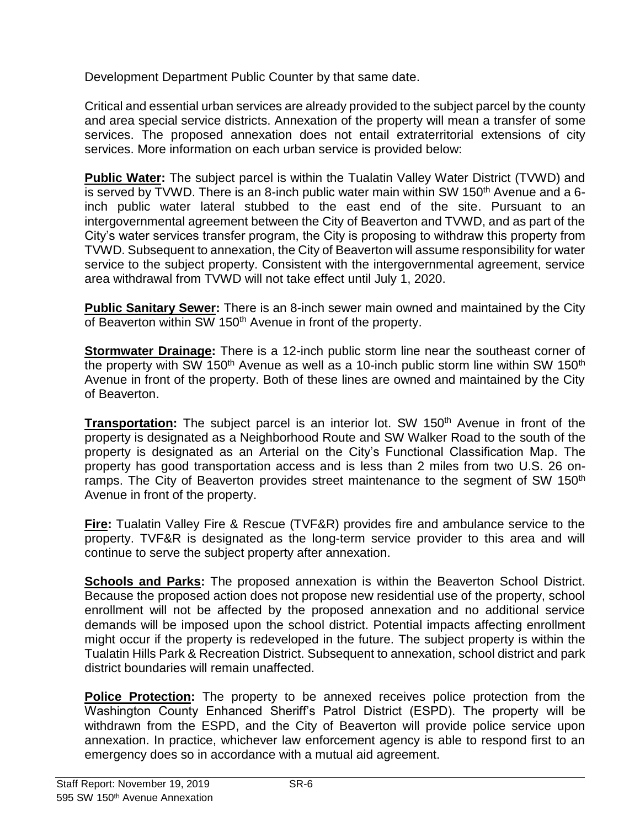Development Department Public Counter by that same date.

Critical and essential urban services are already provided to the subject parcel by the county and area special service districts. Annexation of the property will mean a transfer of some services. The proposed annexation does not entail extraterritorial extensions of city services. More information on each urban service is provided below:

**Public Water:** The subject parcel is within the Tualatin Valley Water District (TVWD) and is served by TVWD. There is an 8-inch public water main within SW 150<sup>th</sup> Avenue and a 6inch public water lateral stubbed to the east end of the site. Pursuant to an intergovernmental agreement between the City of Beaverton and TVWD, and as part of the City's water services transfer program, the City is proposing to withdraw this property from TVWD. Subsequent to annexation, the City of Beaverton will assume responsibility for water service to the subject property. Consistent with the intergovernmental agreement, service area withdrawal from TVWD will not take effect until July 1, 2020.

**Public Sanitary Sewer:** There is an 8-inch sewer main owned and maintained by the City of Beaverton within SW 150<sup>th</sup> Avenue in front of the property.

**Stormwater Drainage:** There is a 12-inch public storm line near the southeast corner of the property with SW 150<sup>th</sup> Avenue as well as a 10-inch public storm line within SW 150<sup>th</sup> Avenue in front of the property. Both of these lines are owned and maintained by the City of Beaverton.

**Transportation:** The subject parcel is an interior lot. SW 150<sup>th</sup> Avenue in front of the property is designated as a Neighborhood Route and SW Walker Road to the south of the property is designated as an Arterial on the City's Functional Classification Map. The property has good transportation access and is less than 2 miles from two U.S. 26 onramps. The City of Beaverton provides street maintenance to the segment of SW 150<sup>th</sup> Avenue in front of the property.

**Fire:** Tualatin Valley Fire & Rescue (TVF&R) provides fire and ambulance service to the property. TVF&R is designated as the long-term service provider to this area and will continue to serve the subject property after annexation.

**Schools and Parks:** The proposed annexation is within the Beaverton School District. Because the proposed action does not propose new residential use of the property, school enrollment will not be affected by the proposed annexation and no additional service demands will be imposed upon the school district. Potential impacts affecting enrollment might occur if the property is redeveloped in the future. The subject property is within the Tualatin Hills Park & Recreation District. Subsequent to annexation, school district and park district boundaries will remain unaffected.

**Police Protection:** The property to be annexed receives police protection from the Washington County Enhanced Sheriff's Patrol District (ESPD). The property will be withdrawn from the ESPD, and the City of Beaverton will provide police service upon annexation. In practice, whichever law enforcement agency is able to respond first to an emergency does so in accordance with a mutual aid agreement.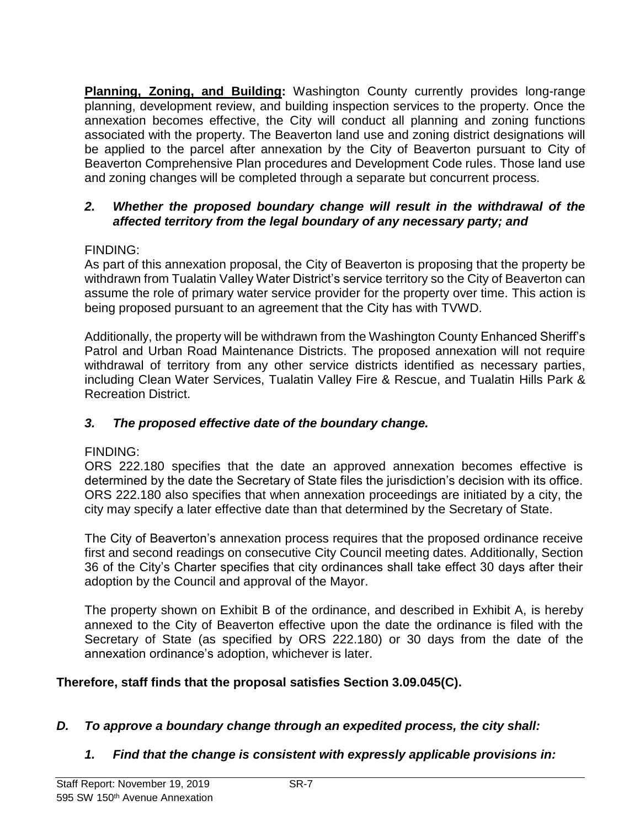**Planning, Zoning, and Building:** Washington County currently provides long-range planning, development review, and building inspection services to the property. Once the annexation becomes effective, the City will conduct all planning and zoning functions associated with the property. The Beaverton land use and zoning district designations will be applied to the parcel after annexation by the City of Beaverton pursuant to City of Beaverton Comprehensive Plan procedures and Development Code rules. Those land use and zoning changes will be completed through a separate but concurrent process.

#### *2. Whether the proposed boundary change will result in the withdrawal of the affected territory from the legal boundary of any necessary party; and*

### FINDING:

As part of this annexation proposal, the City of Beaverton is proposing that the property be withdrawn from Tualatin Valley Water District's service territory so the City of Beaverton can assume the role of primary water service provider for the property over time. This action is being proposed pursuant to an agreement that the City has with TVWD.

Additionally, the property will be withdrawn from the Washington County Enhanced Sheriff's Patrol and Urban Road Maintenance Districts. The proposed annexation will not require withdrawal of territory from any other service districts identified as necessary parties, including Clean Water Services, Tualatin Valley Fire & Rescue, and Tualatin Hills Park & Recreation District.

#### *3. The proposed effective date of the boundary change.*

## FINDING:

ORS 222.180 specifies that the date an approved annexation becomes effective is determined by the date the Secretary of State files the jurisdiction's decision with its office. ORS 222.180 also specifies that when annexation proceedings are initiated by a city, the city may specify a later effective date than that determined by the Secretary of State.

The City of Beaverton's annexation process requires that the proposed ordinance receive first and second readings on consecutive City Council meeting dates. Additionally, Section 36 of the City's Charter specifies that city ordinances shall take effect 30 days after their adoption by the Council and approval of the Mayor.

The property shown on Exhibit B of the ordinance, and described in Exhibit A, is hereby annexed to the City of Beaverton effective upon the date the ordinance is filed with the Secretary of State (as specified by ORS 222.180) or 30 days from the date of the annexation ordinance's adoption, whichever is later.

## **Therefore, staff finds that the proposal satisfies Section 3.09.045(C).**

## *D. To approve a boundary change through an expedited process, the city shall:*

## *1. Find that the change is consistent with expressly applicable provisions in:*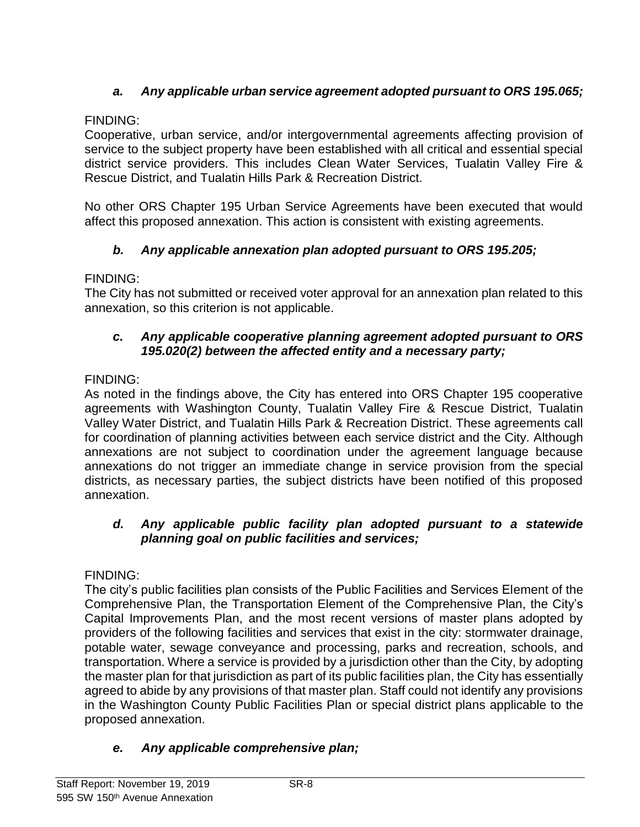# *a. Any applicable urban service agreement adopted pursuant to ORS 195.065;*

### FINDING:

Cooperative, urban service, and/or intergovernmental agreements affecting provision of service to the subject property have been established with all critical and essential special district service providers. This includes Clean Water Services, Tualatin Valley Fire & Rescue District, and Tualatin Hills Park & Recreation District.

No other ORS Chapter 195 Urban Service Agreements have been executed that would affect this proposed annexation. This action is consistent with existing agreements.

## *b. Any applicable annexation plan adopted pursuant to ORS 195.205;*

### FINDING:

The City has not submitted or received voter approval for an annexation plan related to this annexation, so this criterion is not applicable.

### *c. Any applicable cooperative planning agreement adopted pursuant to ORS 195.020(2) between the affected entity and a necessary party;*

## FINDING:

As noted in the findings above, the City has entered into ORS Chapter 195 cooperative agreements with Washington County, Tualatin Valley Fire & Rescue District, Tualatin Valley Water District, and Tualatin Hills Park & Recreation District. These agreements call for coordination of planning activities between each service district and the City. Although annexations are not subject to coordination under the agreement language because annexations do not trigger an immediate change in service provision from the special districts, as necessary parties, the subject districts have been notified of this proposed annexation.

### *d. Any applicable public facility plan adopted pursuant to a statewide planning goal on public facilities and services;*

## FINDING:

The city's public facilities plan consists of the Public Facilities and Services Element of the Comprehensive Plan, the Transportation Element of the Comprehensive Plan, the City's Capital Improvements Plan, and the most recent versions of master plans adopted by providers of the following facilities and services that exist in the city: stormwater drainage, potable water, sewage conveyance and processing, parks and recreation, schools, and transportation. Where a service is provided by a jurisdiction other than the City, by adopting the master plan for that jurisdiction as part of its public facilities plan, the City has essentially agreed to abide by any provisions of that master plan. Staff could not identify any provisions in the Washington County Public Facilities Plan or special district plans applicable to the proposed annexation.

## *e. Any applicable comprehensive plan;*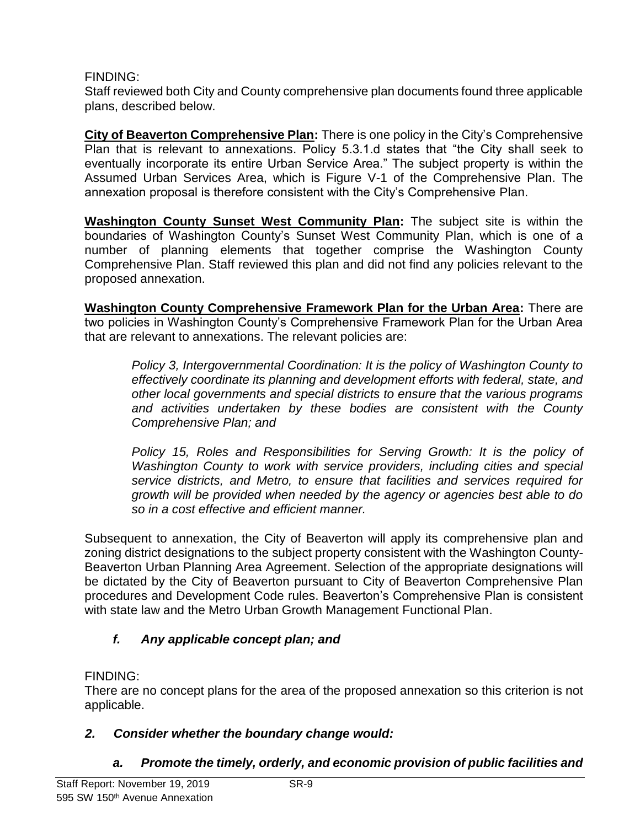## FINDING:

Staff reviewed both City and County comprehensive plan documents found three applicable plans, described below.

**City of Beaverton Comprehensive Plan:** There is one policy in the City's Comprehensive Plan that is relevant to annexations. Policy 5.3.1.d states that "the City shall seek to eventually incorporate its entire Urban Service Area." The subject property is within the Assumed Urban Services Area, which is Figure V-1 of the Comprehensive Plan. The annexation proposal is therefore consistent with the City's Comprehensive Plan.

**Washington County Sunset West Community Plan:** The subject site is within the boundaries of Washington County's Sunset West Community Plan, which is one of a number of planning elements that together comprise the Washington County Comprehensive Plan. Staff reviewed this plan and did not find any policies relevant to the proposed annexation.

**Washington County Comprehensive Framework Plan for the Urban Area:** There are two policies in Washington County's Comprehensive Framework Plan for the Urban Area that are relevant to annexations. The relevant policies are:

*Policy 3, Intergovernmental Coordination: It is the policy of Washington County to effectively coordinate its planning and development efforts with federal, state, and other local governments and special districts to ensure that the various programs and activities undertaken by these bodies are consistent with the County Comprehensive Plan; and*

*Policy 15, Roles and Responsibilities for Serving Growth: It is the policy of Washington County to work with service providers, including cities and special service districts, and Metro, to ensure that facilities and services required for growth will be provided when needed by the agency or agencies best able to do so in a cost effective and efficient manner.*

Subsequent to annexation, the City of Beaverton will apply its comprehensive plan and zoning district designations to the subject property consistent with the Washington County-Beaverton Urban Planning Area Agreement. Selection of the appropriate designations will be dictated by the City of Beaverton pursuant to City of Beaverton Comprehensive Plan procedures and Development Code rules. Beaverton's Comprehensive Plan is consistent with state law and the Metro Urban Growth Management Functional Plan.

# *f. Any applicable concept plan; and*

# FINDING:

There are no concept plans for the area of the proposed annexation so this criterion is not applicable.

# *2. Consider whether the boundary change would:*

# *a. Promote the timely, orderly, and economic provision of public facilities and*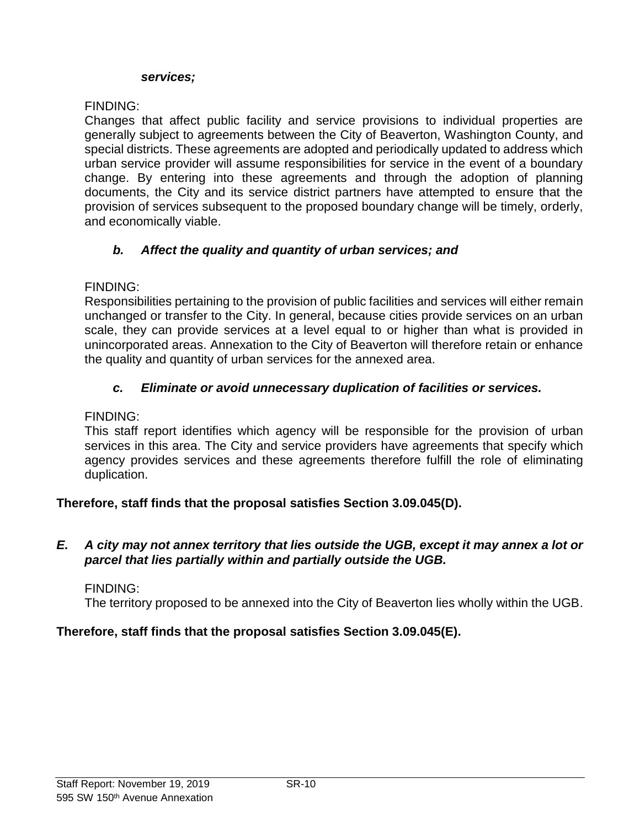#### *services;*

### FINDING:

Changes that affect public facility and service provisions to individual properties are generally subject to agreements between the City of Beaverton, Washington County, and special districts. These agreements are adopted and periodically updated to address which urban service provider will assume responsibilities for service in the event of a boundary change. By entering into these agreements and through the adoption of planning documents, the City and its service district partners have attempted to ensure that the provision of services subsequent to the proposed boundary change will be timely, orderly, and economically viable.

## *b. Affect the quality and quantity of urban services; and*

### FINDING:

Responsibilities pertaining to the provision of public facilities and services will either remain unchanged or transfer to the City. In general, because cities provide services on an urban scale, they can provide services at a level equal to or higher than what is provided in unincorporated areas. Annexation to the City of Beaverton will therefore retain or enhance the quality and quantity of urban services for the annexed area.

### *c. Eliminate or avoid unnecessary duplication of facilities or services.*

#### FINDING:

This staff report identifies which agency will be responsible for the provision of urban services in this area. The City and service providers have agreements that specify which agency provides services and these agreements therefore fulfill the role of eliminating duplication.

#### **Therefore, staff finds that the proposal satisfies Section 3.09.045(D).**

#### *E. A city may not annex territory that lies outside the UGB, except it may annex a lot or parcel that lies partially within and partially outside the UGB.*

#### FINDING:

The territory proposed to be annexed into the City of Beaverton lies wholly within the UGB.

#### **Therefore, staff finds that the proposal satisfies Section 3.09.045(E).**